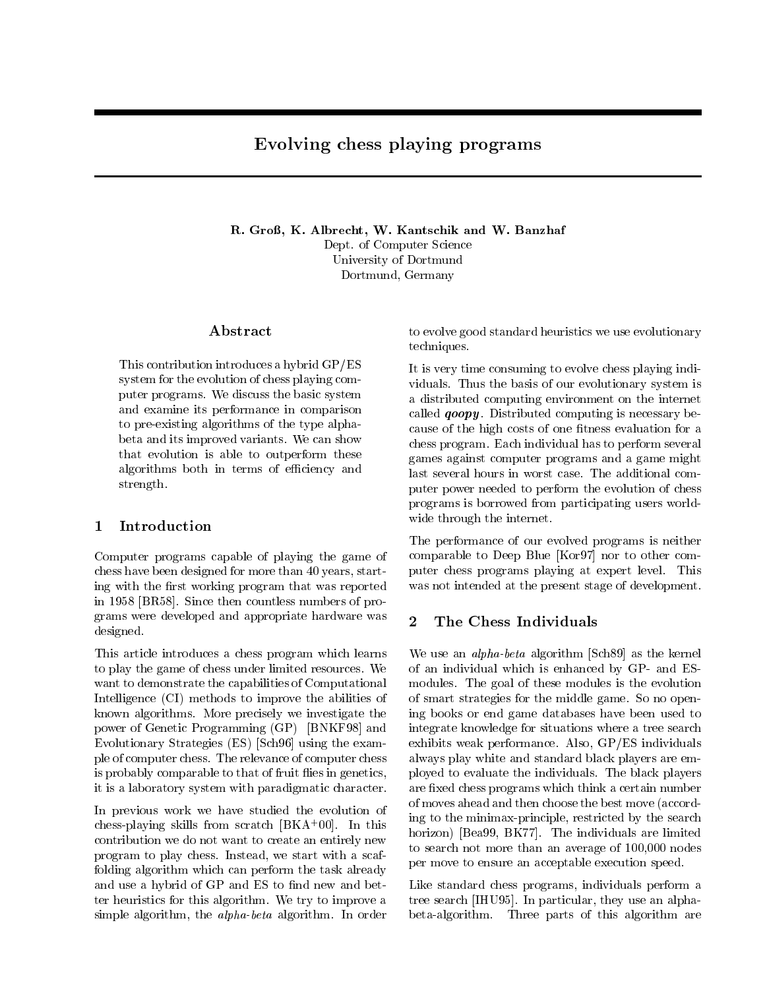# Evolving chess playing programs

R. Groß, K. Albrecht, W. Kantschik and W. Banzhaf Dept. of Computer Science University of Dortmund Dortmund, Germany

## Abstract

This contribution introduces a hybrid GP/ES system for the evolution of chess playing computer programs. We discuss the basic system and examine its performance in comparison to pre-existing algorithms of the type alphabeta and its improved variants. We can show that evolution is able to outperform these algorithms both in terms of efficiency and strength.

## $\mathbf{1}$

Computer programs capable of playing the game of chess have been designed for more than 40 years, starting with the first working program that was reported in 1958 [BR58]. Since then countless numbers of programs were developed and appropriate hardware was designed.

This article introduces a chess program which learns to play the game of chess under limited resources. We want to demonstrate the capabilities of Computational Intelligence (CI) methods to improve the abilities of known algorithms. More precisely we investigate the power of Genetic Programming (GP) [BNKF98] and Evolutionary Strategies (ES) [Sch96] using the example of computer chess. The relevance of computer chess is probably comparable to that of fruit flies in genetics, it is a laboratory system with paradigmatic character.

In previous work we have studied the evolution of chess-playing skills from scratch [BKA<sup>+</sup> 00]. In this contribution we do not want to create an entirely new program to play chess. Instead, we start with a scaffolding algorithm which can perform the task already and use a hybrid of GP and ES to find new and better heuristics for this algorithm. We try to improve a simple algorithm, the alpha-beta algorithm. In order

to evolve good standard heuristics we use evolutionary techniques.

It is very time consuming to evolve chess playing individuals. Thus the basis of our evolutionary system is a distributed computing environment on the internet called  $qoopy$ . Distributed computing is necessary because of the high costs of one fitness evaluation for a chess program. Each individual has to perform several games against computer programs and a game might last several hours in worst case. The additional computer power needed to perform the evolution of chess programs is borrowed from participating users worldwide through the internet.

The performance of our evolved programs is neither comparable to Deep Blue [Kor97] nor to other computer chess programs playing at expert level. This was not intended at the present stage of development.

## 2 The Chess Individuals

We use an alpha-beta algorithm [Sch89] as the kernel of an individual which is enhanced by GP- and ESmodules. The goal of these modules is the evolution of smart strategies for the middle game. So no opening books or end game databases have been used to integrate knowledge for situations where a tree search exhibits weak performance. Also, GP/ES individuals always play white and standard black players are employed to evaluate the individuals. The black players are fixed chess programs which think a certain number of moves ahead and then choose the best move (according to the minimax-principle, restricted by the search horizon) [Bea99, BK77]. The individuals are limited to search not more than an average of 100,000 nodes per move to ensure an acceptable execution speed.

Like standard chess programs, individuals perform a tree search [IHU95]. In particular, they use an alphabeta-algorithm. Three parts of this algorithm are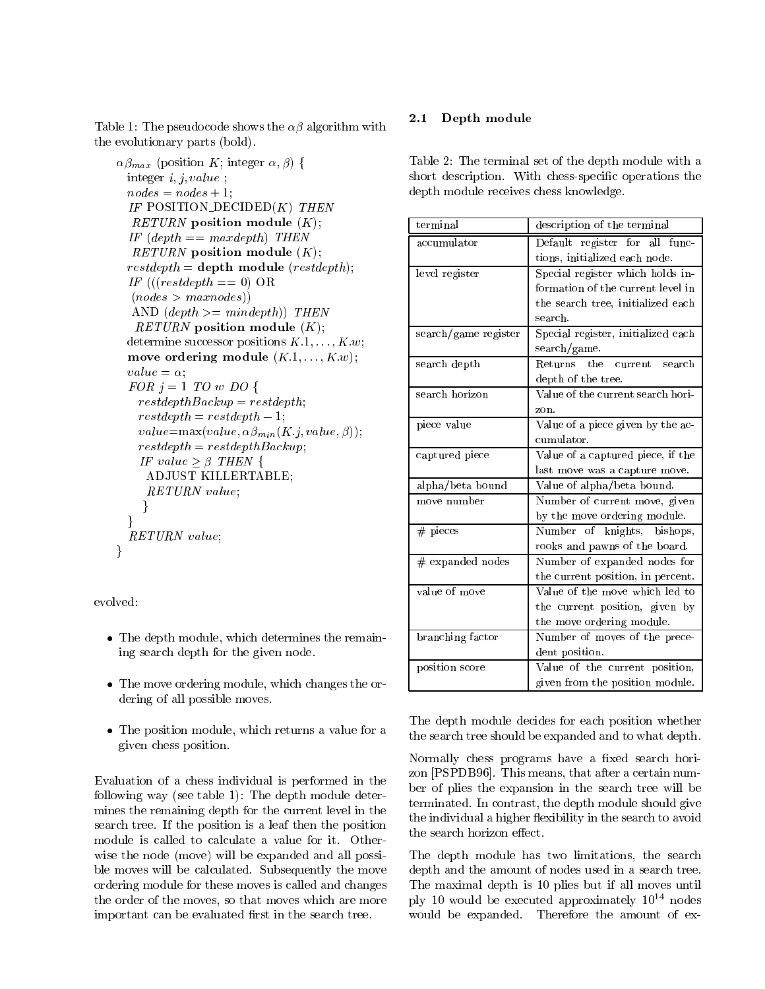Table 1: The pseudocode shows the  $\alpha\beta$  algorithm with the evolutionary parts (bold).

```
\alpha\beta_{max} (position K; integer \alpha, \beta) {
 integer i, j, value;
  nodes = nodes + 1;IF POSITION DECIDED(K) THEN
  RETURN position module (K);IF (depth == maxdepth) THEN
  RETURN position module (K);restdepth = depth module (restdeph);IF (((restdepth == 0) \text{ OR})(nodes > maxnodes))AND (depth \geq = mindepth) THEN
   RETURN position module (K);
  determine successor positions K.1, \ldots, K.w;
  move ordering module (K.1, \ldots, K.w);
  value = \alpha;FOR j = 1 TO w DO {
    restdepthBackup = restdepth;restdepth = restdepth - 1;value = \max(value, \alpha \beta_{min}(K.j, value, \beta));restdepth = restdepthBackup;IF value > \beta THEN {
     ADJUST KILLERTABLE;
     RETURN value;
     \}\}RETURN value;
\}
```
evolved:

- $\bullet$  The depth module, which determines the remaining search depth for the given node.
- $\bullet$  The move ordering module, which changes the ordering of all possible moves.
- $\bullet$  The position module, which returns a value for a  $\epsilon_{\rm th, esc}$ given chess position.

Evaluation of a chess individual is performed in the following way (see table 1): The depth module determines the remaining depth for the current level in the search tree. If the position is a leaf then the position module is called to calculate a value for it. Otherwise the node (move) will be expanded and all possible moves will be calculated. Subsequently the move ordering module for these moves is called and changes the order of the moves, so that moves which are more important can be evaluated first in the search tree.

## 2.1 Depth module

Table 2: The terminal set of the depth module with a short description. With chess-specific operations the depth module receives chess knowledge.

| terminal             | description of the terminal          |
|----------------------|--------------------------------------|
| accumulator          | Default register for all func-       |
|                      | tions, initialized each node.        |
| level register       | Special register which holds in-     |
|                      | formation of the current level in    |
|                      | the search tree, initialized each    |
|                      | search.                              |
| search/game register | Special register, initialized each   |
|                      | search/game.                         |
| search depth         | Returns<br>the.<br>current<br>search |
|                      | depth of the tree.                   |
| search horizon       | Value of the current search hori-    |
|                      | zon.                                 |
| piece value          | Value of a piece given by the ac-    |
|                      | cumulator.                           |
| captured piece       | Value of a captured piece, if the    |
|                      | last move was a capture move.        |
| alpha/beta bound     | Value of alpha/beta bound.           |
| move number          | Number of current move, given        |
|                      | by the move ordering module.         |
| $#$ pieces           | Number of knights, bishops,          |
|                      | rooks and pawns of the board.        |
| # expanded nodes     | Number of expanded nodes for         |
|                      | the current position, in percent.    |
| value of move        | Value of the move which led to       |
|                      | the current position, given by       |
|                      | the move ordering module.            |
| branching factor     | Number of moves of the prece-        |
|                      | dent position.                       |
| position score       | Value of the current position,       |
|                      | given from the position module.      |

The depth module decides for each position whether the search tree should be expanded and to what depth.

Normally chess programs have a fixed search horizon [PSPDB96]. This means, that after a certain number of plies the expansion in the search tree will be terminated. In contrast, the depth module should give the individual a higher flexibility in the search to avoid the search horizon effect.

The depth module has two limitations, the search depth and the amount of nodes used in a search tree. The maximal depth is 10 plies but if all moves until ply 10 would be executed approximately  $10^{14}$  nodes would be expanded. Therefore the amount of ex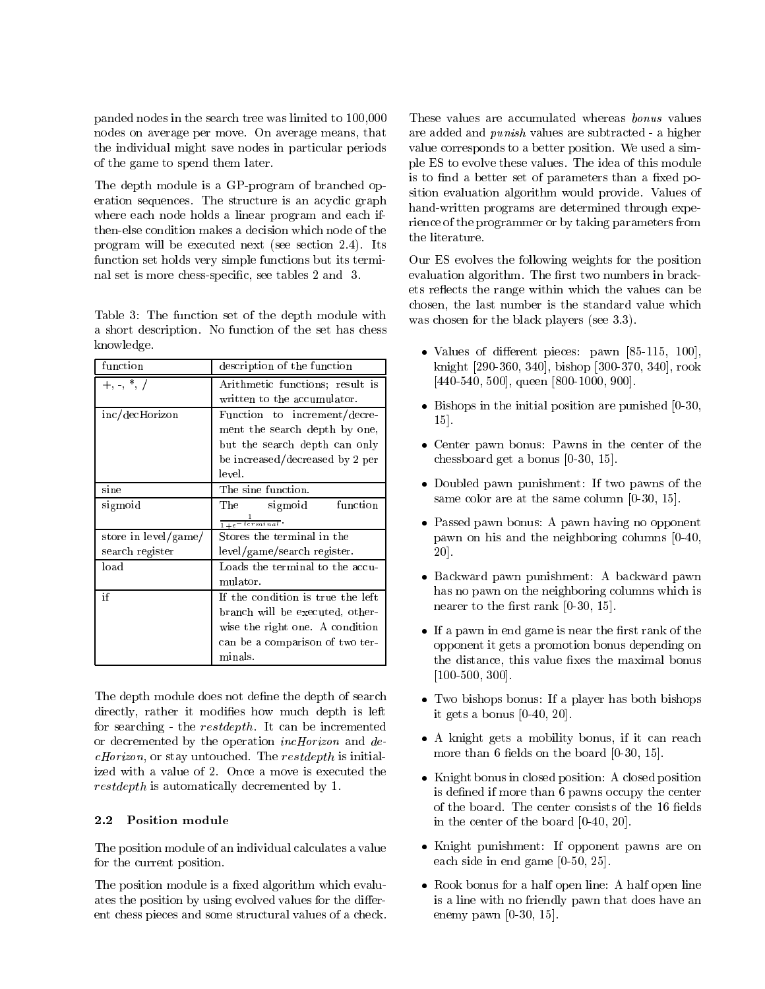panded nodes in the search tree was limited to 100,000 nodes on average per move. On average means, that the individual might save nodes in particular periods of the game to spend them later.

The depth module is a GP-program of branched operation sequences. The structure is an acyclic graph where each node holds a linear program and each ifthen-else condition makes a decision which node of the the literature. program will be executed next (see section 2.4). Its function set holds very simple functions but its terminal set is more chess-specic, see tables 2 and 3.

Table 3: The function set of the depth module with a short description. No function of the set has chess knowledge.

| function             | description of the function       |  |
|----------------------|-----------------------------------|--|
| $+, -, *, /$         | Arithmetic functions; result is   |  |
|                      | written to the accumulator.       |  |
| inc/decHorizon       | Function to increment/decre-      |  |
|                      | ment the search depth by one,     |  |
|                      | but the search depth can only     |  |
|                      | be increased/decreased by 2 per   |  |
|                      | level.                            |  |
| sine                 | The sine function.                |  |
| sigmoid              | function<br>$\rm The$<br>sigmoid  |  |
|                      | $\frac{1}{1+e^{-t}$ erminal.      |  |
| store in level/game/ | Stores the terminal in the        |  |
| search register      | level/game/search register.       |  |
| load                 | Loads the terminal to the accu-   |  |
|                      | mulator.                          |  |
| if                   | If the condition is true the left |  |
|                      | branch will be executed, other-   |  |
|                      | wise the right one. A condition   |  |
|                      | can be a comparison of two ter-   |  |
|                      | minals.                           |  |

The depth module does not define the depth of search directly, rather it modifies how much depth is left for searching - the restdepth. It can be incremented or decremented by the operation incHorizon and decHorizon, or stay untouched. The restdepth is initialized with a value of 2. Once a move is executed the restdepth is automatically decremented by 1.

### $2.2$ **Position module**

The position module of an individual calculates a value for the current position.

The position module is a fixed algorithm which evaluates the position by using evolved values for the different chess pieces and some structural values of a check.

These values are accumulated whereas bonus values are added and punish values are subtracted - a higher value corresponds to a better position. We used a simple ES to evolve these values. The idea of this module is to find a better set of parameters than a fixed position evaluation algorithm would provide. Values of hand-written programs are determined through experience of the programmer or by taking parameters from

Our ES evolves the following weights for the position evaluation algorithm. The first two numbers in brackets re
ects the range within which the values can be chosen, the last number is the standard value which was chosen for the black players (see 3.3).

- $\bullet$  values of different pieces: pawn  $[85\text{-}115,~100],$ knight [290-360, 340], bishop [300-370, 340], rook [440-540, 500], queen [800-1000, 900].
- $\bullet$  Bishops in the initial position are punished  $[0-30,$ 15].
- Center pawn bonus: Pawns in the center of the chessboard get a bonus [0-30, 15].
- $\bullet$  Doubled pawn punishment: If two pawns of the same color are at the same column [0-30, 15].
- Passed pawn bonus: A pawn having no opponent pawn on his and the neighboring columns [0-40, 20].
- $\bullet$  Backward pawn punishment: A backward pawn has no pawn on the neighboring columns which is nearer to the first rank  $[0-30, 15]$ .
- $\bullet$  If a pawn in end game is near the first rank of the  $\bullet$ opponent it gets a promotion bonus depending on the distance, this value fixes the maximal bonus [100-500, 300].
- $\bullet$  Two bishops bonus: If a player has both bishops it gets a bonus [0-40, 20].
- A knight gets a mobility bonus, if it can reach more than 6 fields on the board  $[0-30, 15]$ .
- Knight bonus in closed position: A closed position is defined if more than 6 pawns occupy the center of the board. The center consists of the 16 fields in the center of the board [0-40, 20].
- $\bullet$  Knight punishment: If opponent pawns are on each side in end game [0-50, 25].
- $\bullet\,$  Rook bonus for a half open line:  $\,$  A half open line  $\,$ is a line with no friendly pawn that does have an enemy pawn [0-30, 15].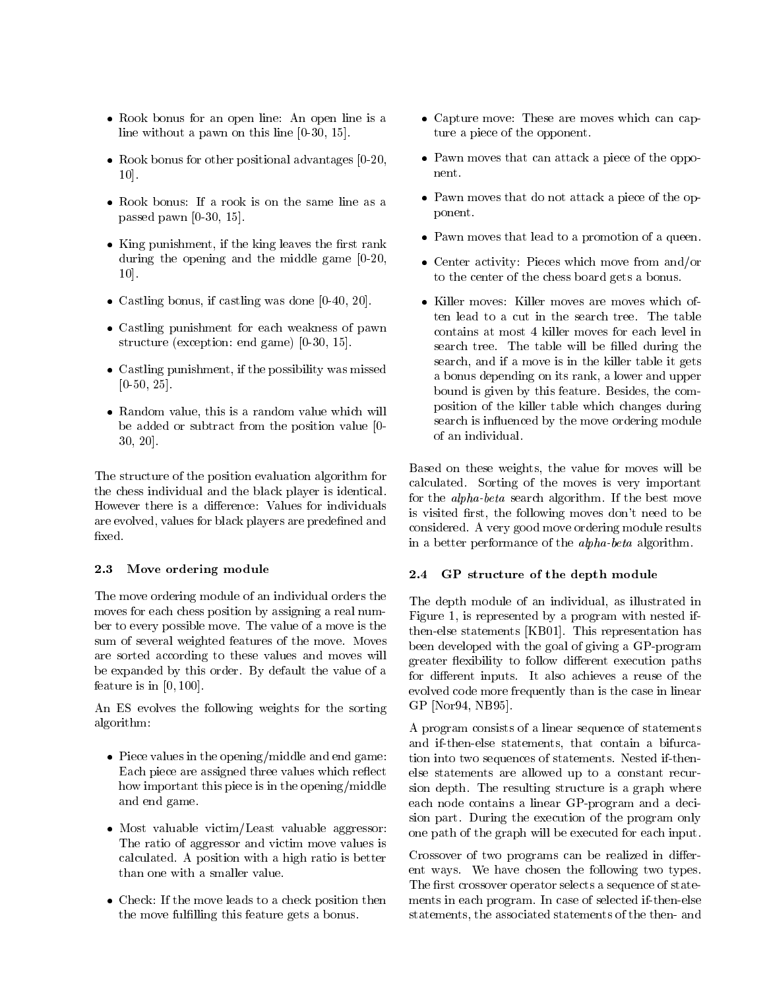- $\bullet$  Rook bonus for an open line: An open line is a  $\bullet$ line without a pawn on this line [0-30, 15].
- $\bullet$  -Kook bonus for other positional advantages [0-20,  $\,$ 10].
- $\bullet$  Kook bonus: It a rook is on the same line as a passed pawn [0-30, 15].
- $\bullet\,$  King punishment, if the king leaves the first rank  $\,$ during the opening and the middle game [0-20, 10].
- $\bullet$  Castling bonus, if castling was done  $[0-40, 20]$ .
- Castling punishment for each weakness of pawn  $\qquad \qquad c$ structure (exception: end game) [0-30, 15].
- $\bullet$  Castling punishment, if the possibility was missed  $[0-50, 25]$ .
- $\bullet\,$  Kandom value, this is a random value which will be added or subtract from the position value [0- 30, 20].

The structure of the position evaluation algorithm for the chess individual and the black player is identical. However there is a difference: Values for individuals are evolved, values for black players are predened and fixed.

## 2.3 Move ordering module

The move ordering module of an individual orders the moves for each chess position by assigning a real number to every possible move. The value of a move is the sum of several weighted features of the move. Moves are sorted according to these values and moves will be expanded by this order. By default the value of a for different inputs. It also achieves a reuse of the feature is in  $[0, 100]$ .

An ES evolves the following weights for the sorting algorithm:

- $\bullet\,$  Piece values in the opening/middle and end game:  $\,$   $\,$   $\,$   $\,$ Each piece are assigned three values which reflect how important this piece is in the opening/middle and end game.
- $\bullet$  Most valuable victim/Least valuable aggressor:  $\overline{\phantom{a}}$ The ratio of aggressor and victim move values is calculated. A position with a high ratio is better than one with a smaller value.
- $\bullet$  Check: If the move leads to a check position then  $\quad$  ment the move fulfilling this feature gets a bonus.
- $\bullet$  Capture move: These are moves which can capture a piece of the opponent.
- $\bullet\,$  Pawn moves that can attack a piece of the opponent.
- $\bullet\,$  Pawn moves that do not attack a piece of the opponent.
- $\bullet\,$  Pawn moves that lead to a promotion of a queen.
- $\bullet$  Center activity: Pieces which move from and/or to the center of the chess board gets a bonus.  $t_{\rm A}$ to the chess board gets a board gets a board gets a board gets a board gets a board gets a board gets a board gets a board gets a board gets a board gets a board gets a board gets a board gets a board gets a board
- Killer moves: Killer moves are moves which often lead to a cut in the search tree. The table contains at most 4 killer moves for each level in search tree. The table will be filled during the search, and if a move is in the killer table it gets a bonus depending on its rank, a lower and upper bound is given by this feature. Besides, the composition of the killer table which changes during search is influenced by the move ordering module

Based on these weights, the value for moves will be calculated. Sorting of the moves is very important for the alpha-beta search algorithm. If the best move is visited first, the following moves don't need to be considered. A very good move ordering module results in a better performance of the alpha-beta algorithm.

### $2.4$ GP structure of the depth module

The depth module of an individual, as illustrated in Figure 1, is represented by a program with nested ifthen-else statements [KB01]. This representation has been developed with the goal of giving a GP-program greater flexibility to follow different execution paths for dierent inputs. It also achieves a reuse of the evolved code more frequently than is the case in linear GP [Nor94, NB95].

A program consists of a linear sequence of statements and if-then-else statements, that contain a bifurcation into two sequences of statements. Nested if-thenelse statements are allowed up to a constant recursion depth. The resulting structure is a graph where each node contains a linear GP-program and a decision part. During the execution of the program only one path of the graph will be executed for each input.

Crossover of two programs can be realized in different ways. We have chosen the following two types. The first crossover operator selects a sequence of statements in each program. In case of selected if-then-else statements, the associated statements of the then- and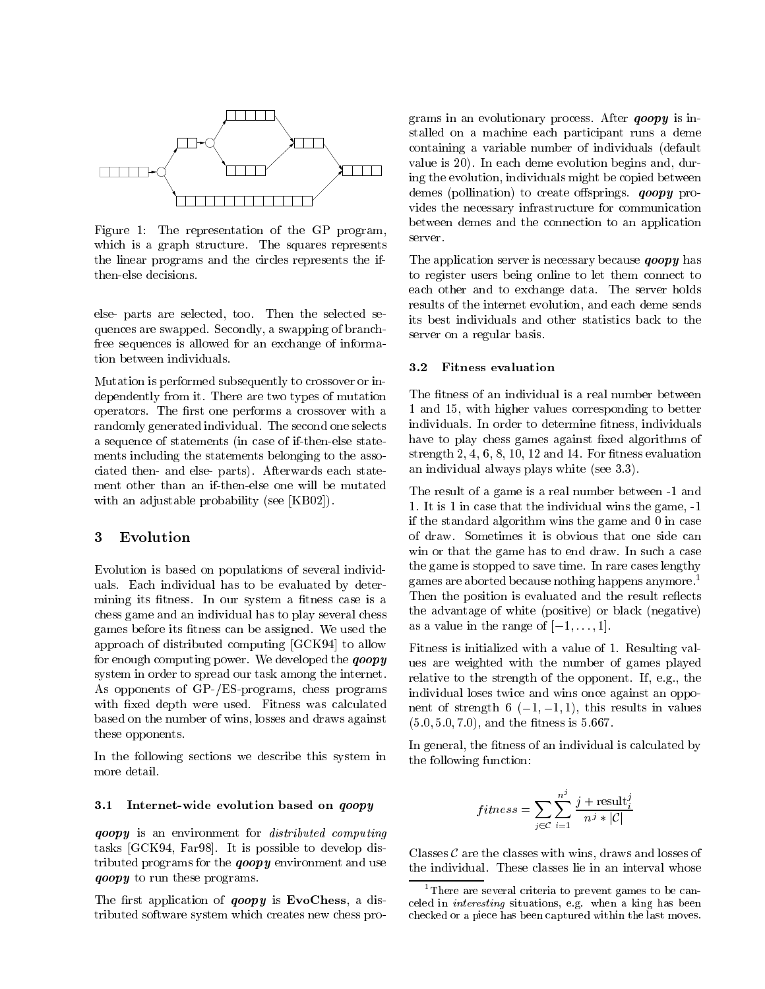

Figure 1: The representation of the GP program, server. which is a graph structure. The squares represents the linear programs and the circles represents the ifthen-else decisions.

else- parts are selected, too. Then the selected sequences are swapped. Secondly, a swapping of branchfree sequences is allowed for an exchange of information between individuals.

Mutation is performed subsequently to crossover or independently from it. There are two types of mutation operators. The first one performs a crossover with a randomly generated individual. The second one selects a sequence of statements (in case of if-then-else statements including the statements belonging to the associated then- and else- parts). Afterwards each statement other than an if-then-else one will be mutated with an adjustable probability (see [KB02]).

### 3 Evolution

Evolution isbased on populations of several individuals. Each individual has to be evaluated by determining its fitness. In our system a fitness case is a chess game and an individual has to play several chess games before its fitness can be assigned. We used the approach of distributed computing [GCK94] to allow for enough computing power. We developed the  $qoopy$ system in order to spread our task among the internet. As opponents of GP-/ES-programs, chess programs with fixed depth were used. Fitness was calculated based on the number of wins, losses and draws against these opponents.

In the following sections we describe this system in more detail.

### 3.1 Internet-wide evolution based on *qoopy*

qoopy is an environment for distributed computing tasks [GCK94, Far98]. It is possible to develop dis*goopy* to run these programs.

The first application of  $qoopy$  is EvoChess, a distributed software system which creates new chess pro-

grams in an evolutionary process. After  $qoopy$  is installed on a machine each participant runs a deme containing a variable number of individuals (default value is 20). In each deme evolution begins and, during the evolution, individuals might be copied between demes (pollination) to create offsprings.  $qoopy$  provides the necessary infrastructure for communication between demes and the connection to an application

The application server is necessary because *goopy* has to register users being online to let them connect to each other and to exchange data. The server holds results of the internet evolution, and each deme sends its best individuals and other statistics back to the server on a regular basis.

#### $3.2$ 3.2 Fitness evaluation

The fitness of an individual is a real number between 1 and 15, with higher values corresponding to better individuals. In order to determine fitness, individuals have to play chess games against fixed algorithms of strength  $2, 4, 6, 8, 10, 12$  and 14. For fitness evaluation an individual always plays white (see 3.3).

The result of a game is a real number between -1 and 1. It is 1 in case that the individual wins the game, -1 if the standard algorithm wins the game and 0 in case of draw. Sometimes it is obvious that one side can win or that the game has to end draw. In such a case the game is stopped to save time. In rare cases lengthy games are aborted because nothing happens anymore.1 Then the position is evaluated and the result reflects the advantage of white (positive) or black (negative) as a value in the range of  $[-1,\ldots,1]$ .

Fitness is initialized with a value of 1. Resulting values are weighted with the number of games played relative to the strength of the opponent. If, e.g., the individual loses twice and wins once against an opponent of strength 6  $(-1, -1, 1)$ , this results in values  $(5.0, 5.0, 7.0)$ , and the fitness is  $5.667$ .

In general, the fitness of an individual is calculated by the following function:

$$
fitness = \sum_{j \in \mathcal{C}} \sum_{i=1}^{n^j} \frac{j + \text{result}_i^j}{n^j * |\mathcal{C}|}
$$

tributed programs for the **qoopy** environment and use  $\frac{1}{h}$  the individual. These classes lie in an interval whose Classes  $\mathcal C$  are the classes with wins, draws and losses of

<sup>1</sup>There are several criteria to prevent games to be canceled in interesting situations, e.g. when a king has been checked or a piece has been captured within the last moves.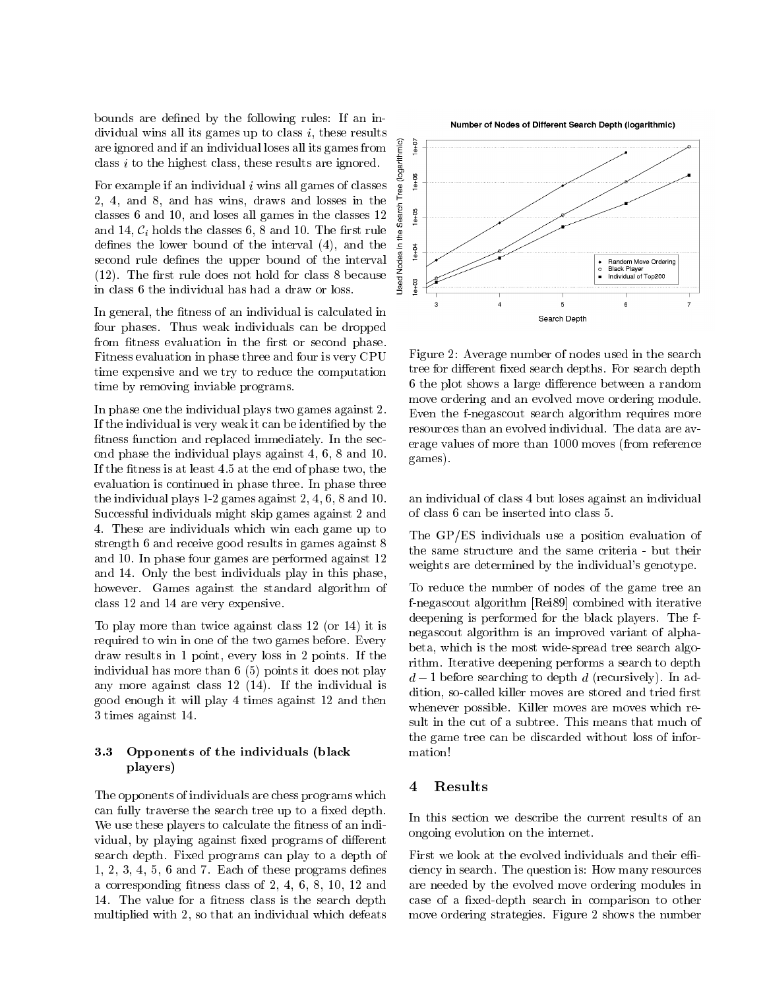bounds are defined by the following rules: If an individual wins all its games up to class *i*, these results<br>are ignored and if an individual loses all its games from  $\frac{2}{5}$ class <sup>i</sup> to the highest class, these results are ignored.

are ignored and if an individual loses all its games from<br>class *i* to the highest class, these results are ignored.<br>For example if an individual *i* wins all games of classes<br>2, 4, and 8, and has wins, draws and losses i For example if an individual *i* wins all games of classes  $\frac{g}{g}$ . 2, 4, and 8, and has wins, draws and losses in the  $\frac{1}{5}$  classes 6 and 10, and losses all games in the classes 12  $\frac{8}{9}$ classes 6 and 10, and loses all games in the classes 12 and 14,  $C_i$  holds the classes 6, 8 and 10. The first rule  $\frac{3}{5}$ defines the lower bound of the interval (4), and the  $\frac{z}{g}$   $\frac{z}{g}$ second rule defines the upper bound of the interval  $\frac{8}{2}$ <br>(12). The first rule does not hold for class 8 because  $\frac{2}{8}$ <br>in class 6 the individual has had a draw or loss. (12). The first rule does not hold for class 8 because  $\frac{z}{\frac{9}{2}}$  in class 6 the individual has had a draw or loss. in class 6 the individual has had a draw or loss.

In general, the fitness of an individual is calculated in four phases. Thus weak individuals can be dropped from fitness evaluation in the first or second phase. Fitness evaluation in phase three and four is very CPU time expensive and we try to reduce the computation time by removing inviable programs.

In phase one the individual plays two games against 2. fitness function and replaced immediately. In the second phase the individual plays against 4, 6, 8 and 10. If the fitness is at least  $4.5$  at the end of phase two, the evaluation is continued in phase three. In phase three the individual plays 1-2 games against 2, 4, 6, 8 and 10. Successful individuals might skip games against 2 and 4. These are individuals which win each game up to strength 6 and receive good results in games against 8 and 10. In phase four games are performed against 12 and 14. Only the best individuals play in this phase, however. Games against the standard algorithm of class 12 and 14 are very expensive.

To play more than twice against class 12 (or 14) it is required to win in one of the two games before. Every draw results in 1 point, every loss in 2 points. If the individual has more than 6 (5) points it does not play any more against class 12 (14). If the individual is good enough it will play 4 times against 12 and then 3 times against 14.

### 3.3 3.3 Opponents of the individuals (black players)

The opponents of individuals are chess programs which can fully traverse the search tree up to a fixed depth. We use these players to calculate the fitness of an individual, by playing against fixed programs of different search depth. Fixed programs can play to a depth of  $1, 2, 3, 4, 5, 6$  and 7. Each of these programs defines a corresponding fitness class of  $2, 4, 6, 8, 10, 12$  and 14. The value for a fitness class is the search depth multiplied with 2, so that an individual which defeats

Number of Nodes of Different Search Depth (logarithmic)



If the individual is very weak it can be identified by the resources than an evolved individual. The data are av-Figure 2: Average number of nodes used in the search tree for different fixed search depths. For search depth 6 the plot shows a large difference between a random move ordering and an evolved move ordering module. Even the f-negascout search algorithm requires more erage values of more than 1000 moves (from reference games).

an individual of class 4 but loses against an individual of class 6 can be inserted into class 5.

The GP/ES individuals use a position evaluation of the same structure and the same criteria - but their weights are determined by the individual's genotype.

To reduce the number of nodes of the game tree an f-negascout algorithm [Rei89] combined with iterative deepening is performed for the black players. The fnegascout algorithm is an improved variant of alphabeta, which is the most wide-spread tree search algorithm. Iterative deepening performs a search to depth  $d-1$  before searching to depth d (recursively). In addition, so-called killer moves are stored and tried first whenever possible. Killer moves are moves which result in the cut of a subtree. This means that much of the game tree can be discarded without loss of information!

#### Results 4

In this section we describe the current results of an ongoing evolution on the internet.

First we look at the evolved individuals and their efficiency in search. The question is: How many resources are needed by the evolved move ordering modules in case of a fixed-depth search in comparison to other move ordering strategies. Figure 2 shows the number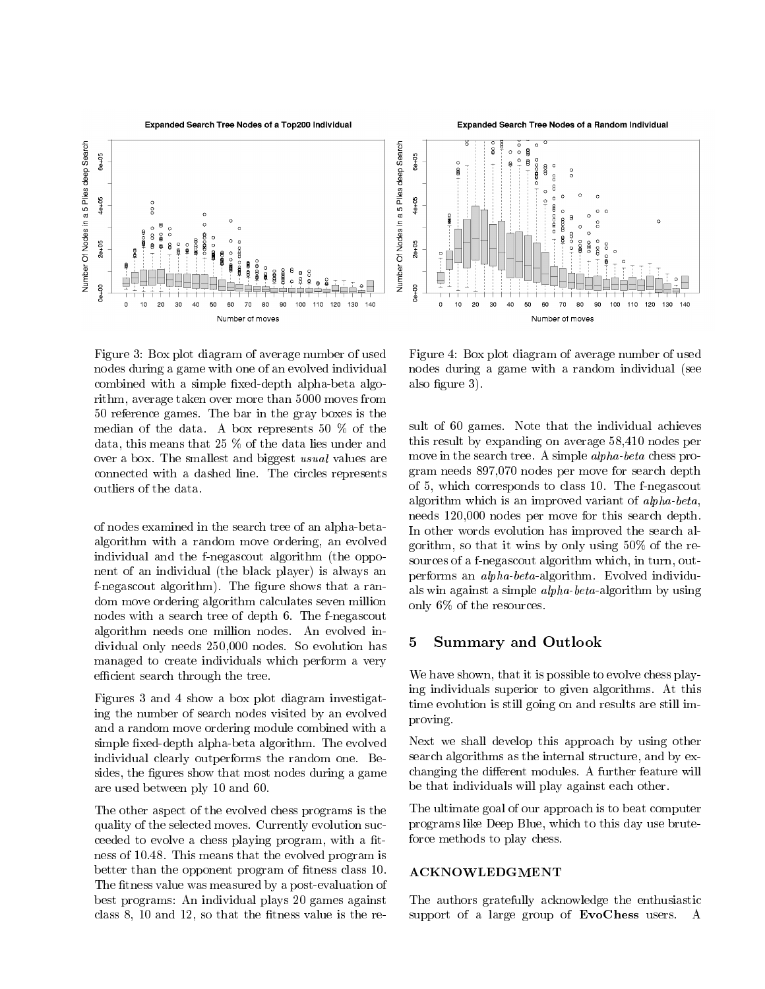Expanded Search Tree Nodes of a Top200 Individual



Figure 3: Box plot diagram of average number of used nodes during a game with one of an evolved individual combined with a simple fixed-depth alpha-beta algorithm, average taken over more than 5000 moves from 50 reference games. The bar in the gray boxes is the median of the data. A box represents 50 % of the data, this means that 25 % of the data lies under and over a box. The smallest and biggest usual values are connected with a dashed line. The circles represents

of nodes examined in the search tree of an alpha-betaalgorithm with a random move ordering, an evolved individual and the f-negascout algorithm (the opponent of an individual (the black player) is always an f-negascout algorithm). The figure shows that a random move ordering algorithm calculates seven million nodes with a search tree of depth 6. The f-negascout algorithm needs one million nodes. An evolved individual only needs 250,000 nodes. So evolution has managed to create individuals which perform a very efficient search through the tree.

Figures 3 and 4 show a box plot diagram investigating the number of search nodes visited by an evolved and a random move ordering module combined with a simple fixed-depth alpha-beta algorithm. The evolved individual clearly outperforms the random one. Besides, the figures show that most nodes during a game are used between ply 10 and 60.

The other aspect of the evolved chess programs is the quality of the selected moves. Currently evolution succeeded to evolve a chess playing program, with a fitness of 10.48. This means that the evolved program is better than the opponent program of fitness class 10. The fitness value was measured by a post-evaluation of best programs: An individual plays 20 games against class  $8$ ,  $10$  and  $12$ , so that the fitness value is the re-

Expanded Search Tree Nodes of a Random Individual



Figure 4: Box plot diagram of average number of used nodes during a game with a random individual (see also figure 3).

sult of 60 games. Note that the individual achieves this result by expanding on average 58,410 nodes per move in the search tree. A simple alpha-beta chess program needs 897,070 nodes per move for search depth of 5, which corresponds to class 10. The f-negascout algorithm which is an improved variant of alpha-beta, needs 120,000 nodes per move for this search depth. In other words evolution has improved the search algorithm, so that it wins by only using 50% of the resources of a f-negascout algorithm which, in turn, outperforms an alpha-beta-algorithm. Evolved individuals win against a simple alpha-beta-algorithm by using only 6% of the resources.

## 5 Summary and Outlook

We have shown, that it is possible to evolve chess playing individuals superior to given algorithms. At this time evolution is still going on and results are still improving.

Next we shall develop this approach by using other search algorithms as the internal structure, and by exchanging the different modules. A further feature will be that individuals will play against each other.

The ultimate goal of our approach is to beat computer programs like Deep Blue, which to this day use bruteforce methods to play chess.

### ACKNOWLEDGMENT

The authors gratefully acknowledge the enthusiastic support of a large group of EvoChess users. A